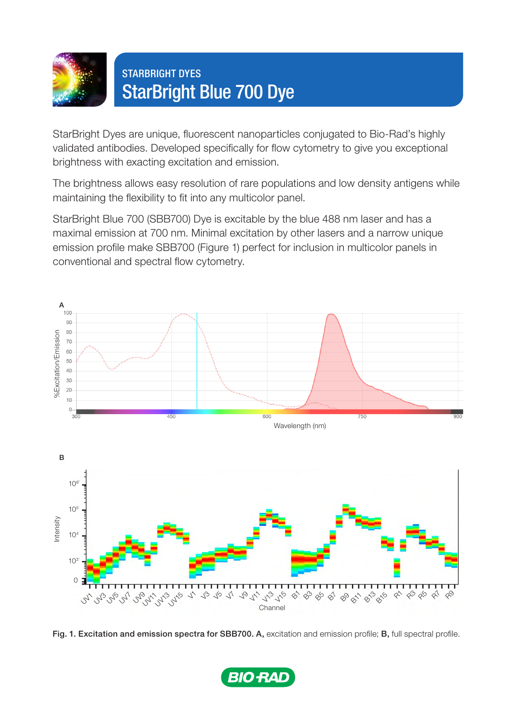

## STARBRIGHT DYES StarBright Blue 700 Dye

StarBright Dyes are unique, fluorescent nanoparticles conjugated to Bio-Rad's highly validated antibodies. Developed specifically for flow cytometry to give you exceptional brightness with exacting excitation and emission.

The brightness allows easy resolution of rare populations and low density antigens while maintaining the flexibility to fit into any multicolor panel.

StarBright Blue 700 (SBB700) Dye is excitable by the blue 488 nm laser and has a maximal emission at 700 nm. Minimal excitation by other lasers and a narrow unique emission profile make SBB700 (Figure 1) perfect for inclusion in multicolor panels in conventional and spectral flow cytometry.



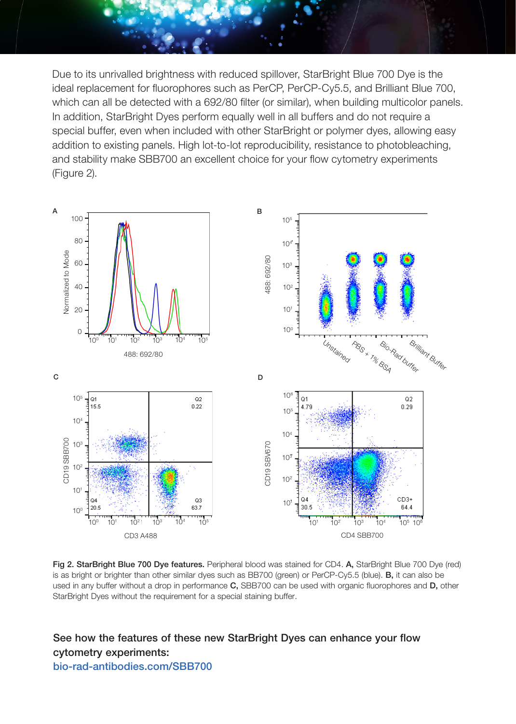Due to its unrivalled brightness with reduced spillover, StarBright Blue 700 Dye is the ideal replacement for fluorophores such as PerCP, PerCP-Cy5.5, and Brilliant Blue 700, which can all be detected with a 692/80 filter (or similar), when building multicolor panels. In addition, StarBright Dyes perform equally well in all buffers and do not require a special buffer, even when included with other StarBright or polymer dyes, allowing easy addition to existing panels. High lot-to-lot reproducibility, resistance to photobleaching, and stability make SBB700 an excellent choice for your flow cytometry experiments (Figure 2).



Fig 2. StarBright Blue 700 Dye features. Peripheral blood was stained for CD4. A, StarBright Blue 700 Dye (red) is as bright or brighter than other similar dyes such as BB700 (green) or PerCP-Cy5.5 (blue). **B**, it can also be used in any buffer without a drop in performance C, SBB700 can be used with organic fluorophores and D, other

See how the features of these new StarBright Dyes can enhance your flow cytometry experiments: [bio-rad-antibodies.com/SB](https://www.bio-rad-antibodies.com/flow-cytometry-starbrightblue700.html)B700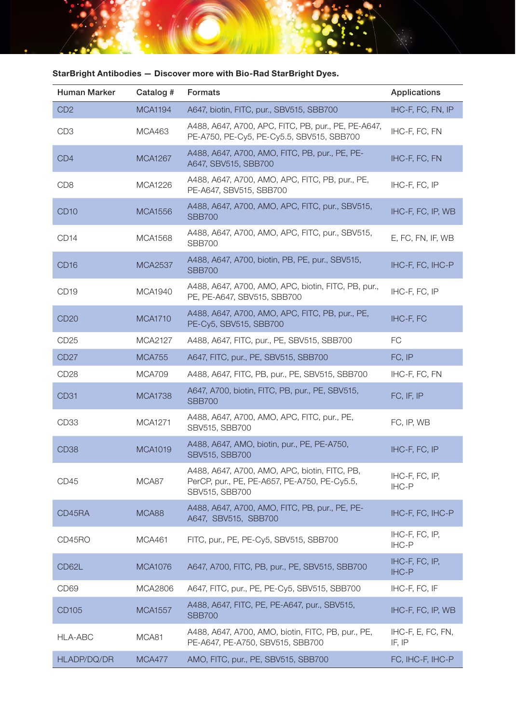| Human Marker     | Catalog #      | <b>Formats</b>                                                                                                  | Applications                |
|------------------|----------------|-----------------------------------------------------------------------------------------------------------------|-----------------------------|
| CD <sub>2</sub>  | <b>MCA1194</b> | A647, biotin, FITC, pur., SBV515, SBB700                                                                        | IHC-F, FC, FN, IP           |
| CD <sub>3</sub>  | MCA463         | A488, A647, A700, APC, FITC, PB, pur., PE, PE-A647,<br>PE-A750, PE-Cy5, PE-Cy5.5, SBV515, SBB700                | IHC-F, FC, FN               |
| CD <sub>4</sub>  | <b>MCA1267</b> | A488, A647, A700, AMO, FITC, PB, pur., PE, PE-<br>A647, SBV515, SBB700                                          | IHC-F, FC, FN               |
| CD <sub>8</sub>  | <b>MCA1226</b> | A488, A647, A700, AMO, APC, FITC, PB, pur., PE,<br>PE-A647, SBV515, SBB700                                      | IHC-F, FC, IP               |
| CD <sub>10</sub> | <b>MCA1556</b> | A488, A647, A700, AMO, APC, FITC, pur., SBV515,<br><b>SBB700</b>                                                | IHC-F, FC, IP, WB           |
| CD <sub>14</sub> | MCA1568        | A488, A647, A700, AMO, APC, FITC, pur., SBV515,<br><b>SBB700</b>                                                | E, FC, FN, IF, WB           |
| CD <sub>16</sub> | <b>MCA2537</b> | A488, A647, A700, biotin, PB, PE, pur., SBV515,<br><b>SBB700</b>                                                | IHC-F, FC, IHC-P            |
| CD <sub>19</sub> | MCA1940        | A488, A647, A700, AMO, APC, biotin, FITC, PB, pur.,<br>PE, PE-A647, SBV515, SBB700                              | IHC-F, FC, IP               |
| <b>CD20</b>      | <b>MCA1710</b> | A488, A647, A700, AMO, APC, FITC, PB, pur., PE,<br>PE-Cy5, SBV515, SBB700                                       | IHC-F, FC                   |
| CD <sub>25</sub> | MCA2127        | A488, A647, FITC, pur., PE, SBV515, SBB700                                                                      | FC.                         |
| CD <sub>27</sub> | <b>MCA755</b>  | A647, FITC, pur., PE, SBV515, SBB700                                                                            | FC, IP                      |
| CD <sub>28</sub> | <b>MCA709</b>  | A488, A647, FITC, PB, pur., PE, SBV515, SBB700                                                                  | IHC-F, FC, FN               |
| CD <sub>31</sub> | <b>MCA1738</b> | A647, A700, biotin, FITC, PB, pur., PE, SBV515,<br><b>SBB700</b>                                                | FC, IF, IP                  |
| CD <sub>33</sub> | MCA1271        | A488, A647, A700, AMO, APC, FITC, pur., PE,<br>SBV515, SBB700                                                   | FC, IP, WB                  |
| CD <sub>38</sub> | <b>MCA1019</b> | A488, A647, AMO, biotin, pur., PE, PE-A750,<br>SBV515, SBB700                                                   | IHC-F, FC, IP               |
| CD45             | MCA87          | A488, A647, A700, AMO, APC, biotin, FITC, PB,<br>PerCP, pur., PE, PE-A657, PE-A750, PE-Cy5.5,<br>SBV515, SBB700 | IHC-F, FC, IP,<br>IHC-P     |
| CD45RA           | MCA88          | A488, A647, A700, AMO, FITC, PB, pur., PE, PE-<br>A647, SBV515, SBB700                                          | IHC-F, FC, IHC-P            |
| CD45RO           | <b>MCA461</b>  | FITC, pur., PE, PE-Cy5, SBV515, SBB700                                                                          | IHC-F, FC, IP,<br>IHC-P     |
| CD62L            | <b>MCA1076</b> | A647, A700, FITC, PB, pur., PE, SBV515, SBB700                                                                  | IHC-F, FC, IP,<br>IHC-P     |
| CD <sub>69</sub> | MCA2806        | A647, FITC, pur., PE, PE-Cy5, SBV515, SBB700                                                                    | IHC-F, FC, IF               |
| CD105            | <b>MCA1557</b> | A488, A647, FITC, PE, PE-A647, pur., SBV515,<br><b>SBB700</b>                                                   | IHC-F, FC, IP, WB           |
| HLA-ABC          | MCA81          | A488, A647, A700, AMO, biotin, FITC, PB, pur., PE,<br>PE-A647, PE-A750, SBV515, SBB700                          | IHC-F, E, FC, FN,<br>IF, IP |
| HLADP/DQ/DR      | <b>MCA477</b>  | AMO, FITC, pur., PE, SBV515, SBB700                                                                             | FC, IHC-F, IHC-P            |

## StarBright Antibodies — Discover more with Bio-Rad StarBright Dyes.